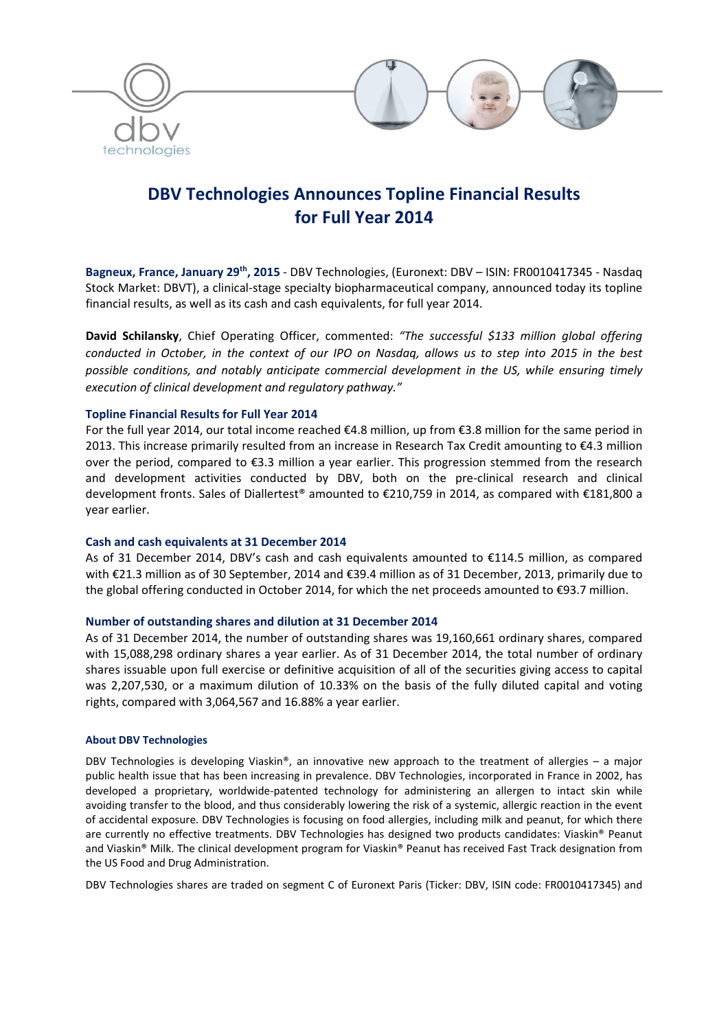

# **DBV Technologies Announces Topline Financial Results for Full Year 2014**

**Bagneux, France, January 29th, 2015** ‐ DBV Technologies, (Euronext: DBV – ISIN: FR0010417345 ‐ Nasdaq Stock Market: DBVT), a clinical‐stage specialty biopharmaceutical company, announced today its topline financial results, as well as its cash and cash equivalents, for full year 2014.

**David Schilansky**, Chief Operating Officer, commented: *"The successful \$133 million global offering* conducted in October, in the context of our IPO on Nasdaq, allows us to step into 2015 in the best *possible conditions, and notably anticipate commercial development in the US, while ensuring timely execution of clinical development and regulatory pathway."*

# **Topline Financial Results for Full Year 2014**

For the full year 2014, our total income reached €4.8 million, up from €3.8 million for the same period in 2013. This increase primarily resulted from an increase in Research Tax Credit amounting to €4.3 million over the period, compared to €3.3 million a year earlier. This progression stemmed from the research and development activities conducted by DBV, both on the pre‐clinical research and clinical development fronts. Sales of Diallertest® amounted to €210,759 in 2014, as compared with €181,800 a year earlier.

# **Cash and cash equivalents at 31 December 2014**

As of 31 December 2014, DBV's cash and cash equivalents amounted to €114.5 million, as compared with €21.3 million as of 30 September, 2014 and €39.4 million as of 31 December, 2013, primarily due to the global offering conducted in October 2014, for which the net proceeds amounted to €93.7 million.

# **Number of outstanding shares and dilution at 31 December 2014**

As of 31 December 2014, the number of outstanding shares was 19,160,661 ordinary shares, compared with 15,088,298 ordinary shares a year earlier. As of 31 December 2014, the total number of ordinary shares issuable upon full exercise or definitive acquisition of all of the securities giving access to capital was 2,207,530, or a maximum dilution of 10.33% on the basis of the fully diluted capital and voting rights, compared with 3,064,567 and 16.88% a year earlier.

# **About DBV Technologies**

DBV Technologies is developing Viaskin<sup>®</sup>, an innovative new approach to the treatment of allergies – a major public health issue that has been increasing in prevalence. DBV Technologies, incorporated in France in 2002, has developed a proprietary, worldwide‐patented technology for administering an allergen to intact skin while avoiding transfer to the blood, and thus considerably lowering the risk of a systemic, allergic reaction in the event of accidental exposure. DBV Technologies is focusing on food allergies, including milk and peanut, for which there are currently no effective treatments. DBV Technologies has designed two products candidates: Viaskin® Peanut and Viaskin® Milk. The clinical development program for Viaskin® Peanut has received Fast Track designation from the US Food and Drug Administration.

DBV Technologies shares are traded on segment C of Euronext Paris (Ticker: DBV, ISIN code: FR0010417345) and